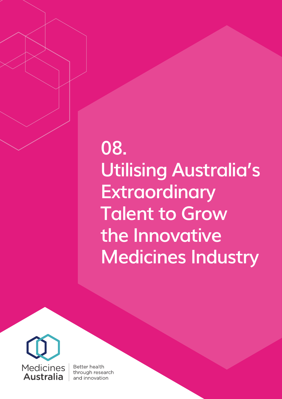## **08. Utilising Australia's Extraordinary Talent to Grow the Innovative Medicines Industry**



Better health through research and innovation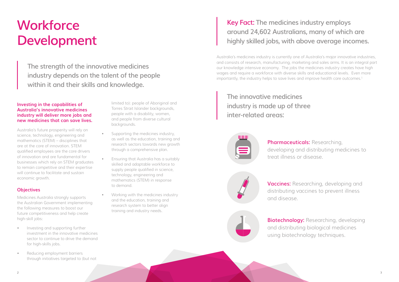## **Workforce Development**

### **Investing in the capabilities of Australia's innovative medicines industry will deliver more jobs and new medicines that can save lives.**

Australia's future prosperity will rely on science, technology, engineering and mathematics (STEM) – disciplines that are at the core of innovation. STEM qualified employees are the core drivers of innovation and are fundamental for businesses which rely on STEM graduates to remain competitive and their expertise will continue to facilitate and sustain economic growth.

### **Objectives**

Medicines Australia strongly supports the Australian Government implementing the following measures to boost our future competitiveness and help create high-skill jobs:

- Supporting the medicines industry, as well as the education, training and research sectors towards new growth through a comprehensive plan.
- Ensuring that Australia has a suitably skilled and adaptable workforce to supply people qualified in science, technology, engineering and mathematics (STEM) in response to demand.
- Working with the medicines industry and the education, training and research system to better align training and industry needs.

Australia's medicines industry is currently one of Australia's major innovative industries, and consists of research, manufacturing, marketing and sales arms. It is an integral part our knowledge intensive economy. The jobs the medicines industry creates have high wages and require a workforce with diverse skills and educational levels. Even more importantly, the industry helps to save lives and improve health care outcomes.<sup>1</sup>

- Investing and supporting further investment in the innovative medicines sector to continue to drive the demand for high-skills jobs.
- Reducing employment barriers through initiatives targeted to (but not

limited to): people of Aboriginal and Torres Strait Islander backgrounds, people with a disability, women, and people from diverse cultural backgrounds.

**The strength of the innovative medicines industry depends on the talent of the people within it and their skills and knowledge.**

### **Key Fact: The medicines industry employs around 24,602 Australians, many of which are highly skilled jobs, with above average incomes.**

**The innovative medicines industry is made up of three inter-related areas:**



**Pharmaceuticals:** Researching, developing and distributing medicines to treat illness or disease.



**Vaccines:** Researching, developing and distributing vaccines to prevent illness

# and disease.

**Biotechnology:** Researching, developing and distributing biological medicines using biotechnology techniques.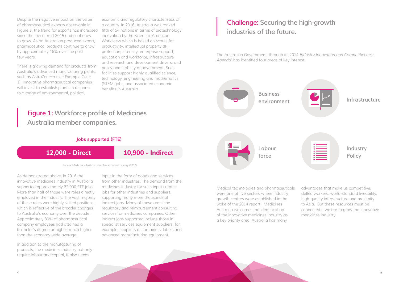Despite the negative impact on the value of pharmaceutical exports observable in Figure 1, the trend for exports has increased since the low of mid-2015 and continues to grow. As an Australian produced export, pharmaceutical products continue to grow by approximately 16% over the past few years.

There is growing demand for products from Australia's advanced manufacturing plants, such as AstraZeneca (see Example Case 1). Innovative pharmaceutical companies will invest to establish plants in response to a range of environmental, political,

economic and regulatory characteristics of a country. In 2016, Australia was ranked fifth of 54 nations in terms of biotechnology innovation by the Scientific American Worldview which is based on scores for productivity; intellectual property (IP) protection; intensity; enterprise support; education and workforce; infrastructure and research and development drivers; and policy and stability of government. Such facilities support highly qualified science, technology, engineering and mathematics (STEM) jobs, and associated economic benefits in Australia.

The Australian Government, through its 2014 Industry Innovation and Competitiveness Agenda<sup>3</sup> has identified four areas of key interest:

As demonstrated above, in 2016 the innovative medicines industry in Australia supported approximately 22,900 FTE jobs. More than half of those were roles directly employed in the industry. The vast majority of these roles were highly skilled positions, which is reflective of the broader changes to Australia's economy over the decade. Approximately 80% of pharmaceutical company employees had attained a bachelor's degree or higher, much higher than the economy-wide average.

In addition to the manufacturing of products, the medicines industry not only require labour and capital, it also needs

input in the form of goods and services from other industries. The demand from the medicines industry for such input creates jobs for other industries and suppliers, supporting many more thousands of indirect jobs. Many of these are niche regulatory and reimbursement consulting services for medicines companies. Other indirect jobs supported include those in specialist services equipment suppliers: for example, suppliers of containers, labels and advanced manufacturing equipment.

Medical technologies and pharmaceuticals were one of five sectors where industry growth centres were established in the wake of the 2014 report. Medicines Australia welcomes the identification of the innovative medicines industry as a key priority area. Australia has many

advantages that make us competitive: skilled workers, world-standard liveability, high-quality infrastructure and proximity to Asia. But these resources must be connected if we are to grow the innovative medicines industry.

Source: Medicines Australia member economic survey (2017)

### **Challenge: Securing the high-growth industries of the future.**

### **Figure 1: Workforce profile of Medicines Australia member companies.**





### **Jobs supported (FTE)**

### **12,000 - Direct 10,900 - Indirect**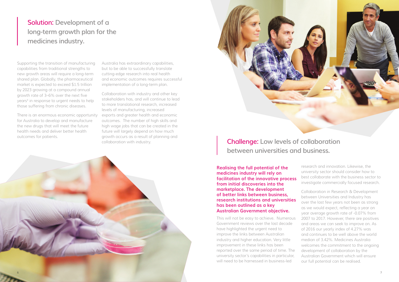Supporting the transition of manufacturing capabilities from traditional strengths to new growth areas will require a long-term shared plan. Globally, the pharmaceutical market is expected to exceed \$1.5 trillion by 2023 growing at a compound annual growth rate of 3–6% over the next five years<sup>4</sup> in response to urgent needs to help those suffering from chronic diseases.

There is an enormous economic opportunity for Australia to develop and manufacture the new drugs that will meet the future health needs and deliver better health outcomes for patients.

Australia has extraordinary capabilities, but to be able to successfully translate cutting-edge research into real health and economic outcomes requires successful implementation of a long-term plan.

Collaboration with industry and other key stakeholders has, and will continue to lead to more translational research, increased levels of manufacturing, increased exports and greater health and economic outcomes. The number of high skills and high wage jobs that can be created in the future will largely depend on how much growth occurs as a result of planning and collaboration with industry.

> **Realising the full potential of the medicines industry will rely on facilitation of the innovative process from initial discoveries into the marketplace. The development**

research and innovation. Likewise, the university sector should consider how to best collaborate with the business sector to investigate commercially focused research.

**of better links between business, research institutions and universities has been outlined as a key Australian Government objective.** This will not be easy to achieve. Numerous Government reviews over the last decade have highlighted the urgent need to improve the links between Australian industry and higher education. Very little improvement in these links has been reported over the same period of time. The university sector's capabilities in particular, will need to be harnessed in business-led Collaboration in Research & Development between Universities and Industry has over the last few years not been as strong as we would expect, reflecting a year on year average growth rate of -0.07% from 2007 to 2017. However, there are positives and areas we can seek to improve on. As of 2016 our yearly index of 4.27% was and continues to be well above the world median of 3.42%. Medicines Australia welcomes the commitment to the ongoing development of collaboration by the Australian Government which will ensure our full potential can be realised.

### **Solution: Development of a long-term growth plan for the medicines industry.**

### **Challenge: Low levels of collaboration between universities and business.**



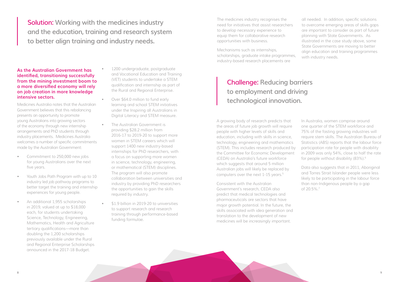**As the Australian Government has identified, transitioning successfully from the mining investment boom to a more diversified economy will rely on job creation in more knowledge intensive sectors.** 

Medicines Australia notes that the Australian Government believes that this rebalancing presents an opportunity to promote young Australians into growing sectors of the economy through new internship arrangements and PhD students through industry placements. Medicines Australia welcomes a number of specific commitments made by the Australian Government:

- Commitment to 250,000 new jobs for young Australians over the next five years.
- Youth Jobs Path Program with up to 10 industry led job pathway programs to better target the training and internship experiences for young people.
- An additional 1,955 scholarships in 2019, valued at up to \$18,000 each, for students undertaking Science, Technology, Engineering, Mathematics, Health and Agriculture tertiary qualifications—more than doubling the 1,200 scholarships previously available under the Rural and Regional Enterprise Scholarships announced in the 2017-18 Budget.
- 1200 undergraduate, postgraduate and Vocational Education and Training (VET) students to undertake a STEM qualification and internship as part of the Rural and Regional Enterprise.
- Over \$64.0 million to fund early learning and school STEM initiatives under the Inspiring all Australians in Digital Literacy and STEM measure.
	- The Australian Government is providing \$28.2 million from 2016-17 to 2019-20 to support more women in STEM careers which will support 1400 new industry-based internships for PhD researchers, with a focus on supporting more women in science, technology, engineering, or mathematical (STEM) disciplines. The program will also promote collaboration between universities and industry by providing PhD researchers the opportunities to gain the skills required by industry.
- \$1.9 billion in 2019-20 to universities to support research and research training through performance-based funding formulae.

A growing body of research predicts that the areas of future job growth will require people with higher levels of skills and education, including with skills in science, technology, engineering and mathematics (STEM). This includes research produced by the Committee for Economic Development (CEDA) on Australia's future workforce which suggests that around 5 million Australian jobs will likely be replaced by computers over the next 1-15 years.<sup>5</sup>

In Australia, women comprise around one quarter of the STEM workforce and 75% of the fasting growing industries will require stem skills. The Australian Bureau of Statistics (ABS) reports that the labour force participation rate for people with disability in 2009 was only 54%, close to half the rate for people without disability (83%).<sup>6</sup>

The medicines industry recognises the need for initiatives that assist researchers to develop necessary experience to equip them for collaborative research opportunities with business.

Mechanisms such as internships, scholarships, graduate intake programmes, industry-based research placements are

all needed. In addition, specific solutions to overcome emerging areas of skills gaps are important to consider as part of future planning with State Governments. As illustrated in the case study above, some State Governments are moving to better align education and training programmes with industry needs.

Consistent with the Australian Government's research, CEDA also predict that medical technologies and pharmaceuticals are sectors that have major growth potential. In the future, the skills associated with idea generation and translation to the development of new medicines will be increasingly important.

Data also suggests that in 2011, Aboriginal and Torres Strait Islander people were less likely to be participating in the labour force than non-Indigenous people by a gap of 20.5%.7

**Solution: Working with the medicines industry and the education, training and research system to better align training and industry needs.**

### **Challenge: Reducing barriers to employment and driving technological innovation.**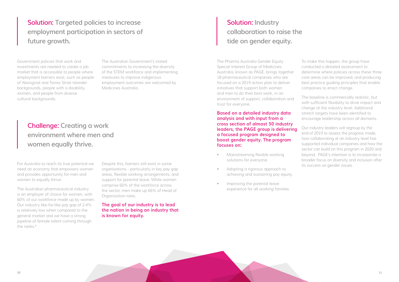Government policies that work and investments are needed to create a job market that is accessible to people where employment barriers exist, such as people of Aboriginal and Torres Strait Islander backgrounds, people with a disability, women, and people from diverse cultural backgrounds.

The Australian Government's stated commitments to increasing the diversity of the STEM workforce and implementing measures to improve indigenous employment outcomes are welcomed by Medicines Australia.

The Pharma Australia Gender Equity Special Interest Group of Medicines Australia, known as PAGE, brings together 18 pharmaceutical companies who are focused on a 2019 action plan to deliver initiatives that support both women and men to do their best work, in an environment of support, collaboration and trust for everyone.

**Based on a detailed industry data analysis and with input from a cross section of almost 50 industry leaders, the PAGE group is delivering a focused program designed to boost gender equity. The program focuses on:**

For Australia to reach its true potential we Despite this, barriers still exist in some example to the state of the success on gender issues. need an economy that empowers women and provides opportunity for men and women to equally thrive.

The Australian pharmaceutical industry is an employer of choice for women, with 60% of our workforce made up by women. Our industry like-for-like pay gap of 2.4% is relatively low when compared to the general market and we have a strong pipeline of female talent coming through the ranks $8$ 

- Mainstreaming flexible working solutions for everyone.
- Adopting a rigorous approach to achieving and sustaining pay equity.
- Improving the parental leave experience for all working families

# To make this happen, the group have

conducted a detailed assessment to determine where policies across these three core areas can be improved; and producing best practice guiding principles that enable companies to enact change.

The baseline is commercially realistic, but with sufficient flexibility to drive impact and change at the industry level. Additional stretch targets have been identified to encourage leadership across all domains.

Our industry leaders will regroup by the end of 2019 to assess the progress made, how collaborating at an industry level has supported individual companies and how the sector can build on this program in 2020 and beyond. PAGE's intention is to incorporate a broader focus on diversity and inclusion after

Despite this, barriers still exist in some organisations - particularly in key pay gap areas, flexible working arrangements, and support for parental leave. While women comprise 60% of the workforce across the sector, men make up 66% of Head of Organization roles.

**The goal of our industry is to lead the nation in being an industry that is known for equity.** 

**Solution: Targeted policies to increase employment participation in sectors of future growth.**

### **Challenge: Creating a work environment where men and women equally thrive.**

### **Solution: Industry collaboration to raise the tide on gender equity.**